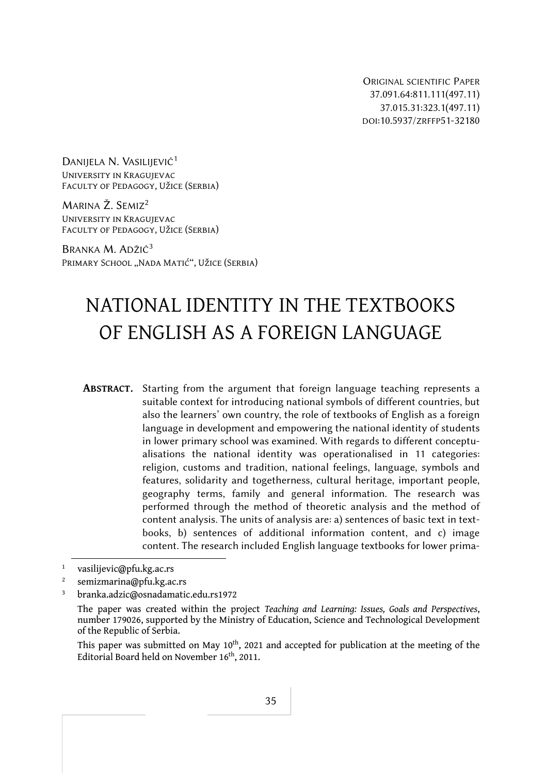ORIGINAL SCIENTIFIC PAPER 37.091.64:811.111(497.11) 37.015.31:323.1(497.11) DOI:10.5937/ZRFFP51-32180

DANIJELA N. VASILIJEVIĆ<sup>1</sup> University in Kragujevac Faculty of Pedagogy, Užice (Serbia)

MARINA Ž. SEMIZ2 University in Kragujevac Faculty of Pedagogy, Užice (Serbia)

BRANKA M. ADŽIĆ3 PRIMARY SCHOOL "NADA MATIĆ", UŽICE (SERBIA)

# NATIONAL IDENTITY IN THE TEXTBOOKS OF ENGLISH AS A FOREIGN LANGUAGE

**ABSTRACT**. Starting from the argument that foreign language teaching represents a suitable context for introducing national symbols of different countries, but also the learners' own country, the role of textbooks of English as a foreign language in development and empowering the national identity of students in lower primary school was examined. With regards to different conceptualisations the national identity was operationalised in 11 categories: religion, customs and tradition, national feelings, language, symbols and features, solidarity and togetherness, cultural heritage, important people, geography terms, family and general information. The research was performed through the method of theoretic analysis and the method of content analysis. The units of analysis are: a) sentences of basic text in textbooks, b) sentences of additional information content, and c) image content. The research included English language textbooks for lower prima-

This paper was submitted on May 10<sup>th</sup>, 2021 and accepted for publication at the meeting of the Editorial Board held on November 16<sup>th</sup>, 2011.

<sup>1</sup> vasilijevic@pfu.kg.ac.rs

<sup>2</sup> semizmarina@pfu.kg.ac.rs

<sup>3</sup> branka.adzic@osnadamatic.edu.rs1972

The paper was created within the project *Teaching and Learning: Issues, Goals and Perspectives*, number 179026, supported by the Ministry of Education, Science and Technological Development of the Republic of Serbia.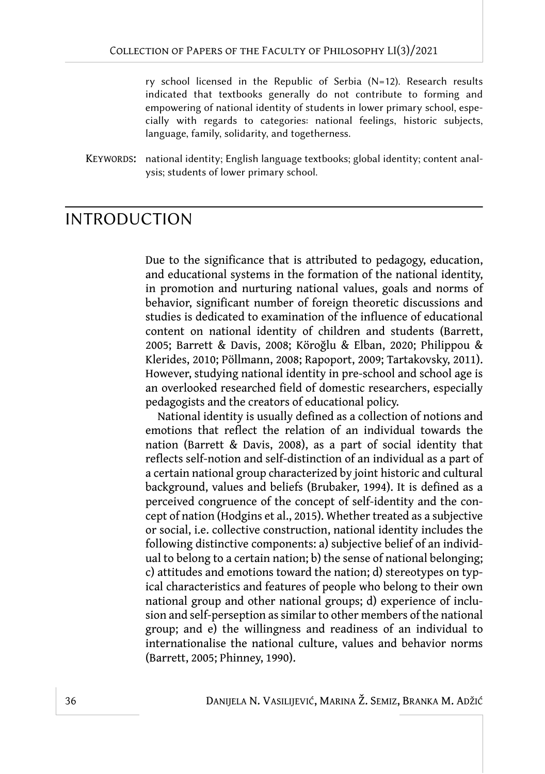ry school licensed in the Republic of Serbia (N=12). Research results indicated that textbooks generally do not contribute to forming and empowering of national identity of students in lower primary school, especially with regards to categories: national feelings, historic subjects, language, family, solidarity, and togetherness.

KEYWORDS: national identity; English language textbooks; global identity; content analysis; students of lower primary school.

#### INTRODUCTION

Due to the significance that is attributed to pedagogy, education, and educational systems in the formation of the national identity, in promotion and nurturing national values, goals and norms of behavior, significant number of foreign theoretic discussions and studies is dedicated to examination of the influence of educational content on national identity of children and students (Barrett, 2005; Barrett & Davis, 2008; Köroğlu & Elban, 2020; Philippou & Klerides, 2010; Pöllmann, 2008; Rapoport, 2009; Tartakovsky, 2011). However, studying national identity in pre-school and school age is an overlooked researched field of domestic researchers, especially pedagogists and the creators of educational policy.

National identity is usually defined as a collection of notions and emotions that reflect the relation of an individual towards the nation (Barrett & Davis, 2008), as a part of social identity that reflects self-notion and self-distinction of an individual as a part of a certain national group characterized by joint historic and cultural background, values and beliefs (Brubaker, 1994). It is defined as a perceived congruence of the concept of self-identity and the concept of nation (Hodgins et al., 2015). Whether treated as a subjective or social, i.e. collective construction, national identity includes the following distinctive components: а) subjective belief of an individual to belong to a certain nation; b) the sense of national belonging; c) attitudes and emotions toward the nation; d) stereotypes on typical characteristics and features of people who belong to their own national group and other national groups; d) experience of inclusion and self-perseption as similar to other members of the national group; and e) the willingness and readiness of an individual to internationalise the national culture, values and behavior norms (Barrett, 2005; Phinney, 1990).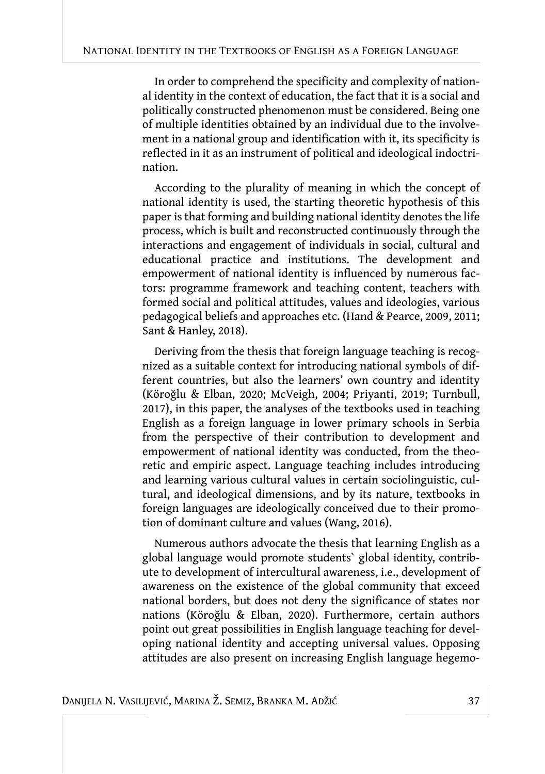In order to comprehend the specificity and complexity of national identity in the context of education, the fact that it is a social and politically constructed phenomenon must be considered. Being one of multiple identities obtained by an individual due to the involvement in a national group and identification with it, its specificity is reflected in it as an instrument of political and ideological indoctrination.

According to the plurality of meaning in which the concept of national identity is used, the starting theoretic hypothesis of this paper is that forming and building national identity denotes the life process, which is built and reconstructed continuously through the interactions and engagement of individuals in social, cultural and educational practice and institutions. The development and empowerment of national identity is influenced by numerous factors: programme framework and teaching content, teachers with formed social and political attitudes, values and ideologies, various pedagogical beliefs and approaches etc. (Hand & Pearce, 2009, 2011; Sant & Hanley, 2018).

Deriving from the thesis that foreign language teaching is recognized as a suitable context for introducing national symbols of different countries, but also the learners' own country and identity (Köroğlu & Elban, 2020; McVeigh, 2004; Priyanti, 2019; Turnbull, 2017), in this paper, the analyses of the textbooks used in teaching English as a foreign language in lower primary schools in Serbia from the perspective of their contribution to development and empowerment of national identity was conducted, from the theoretic and empiric aspect. Language teaching includes introducing and learning various cultural values in certain sociolinguistic, cultural, and ideological dimensions, and by its nature, textbooks in foreign languages are ideologically conceived due to their promotion of dominant culture and values (Wang, 2016).

Numerous authors advocate the thesis that learning English as a global language would promote students` global identity, contribute to development of intercultural awareness, i.e., development of awareness on the existence of the global community that exceed national borders, but does not deny the significance of states nor nations (Köroğlu & Elban, 2020). Furthermore, certain authors point out great possibilities in English language teaching for developing national identity and accepting universal values. Opposing attitudes are also present on increasing English language hegemo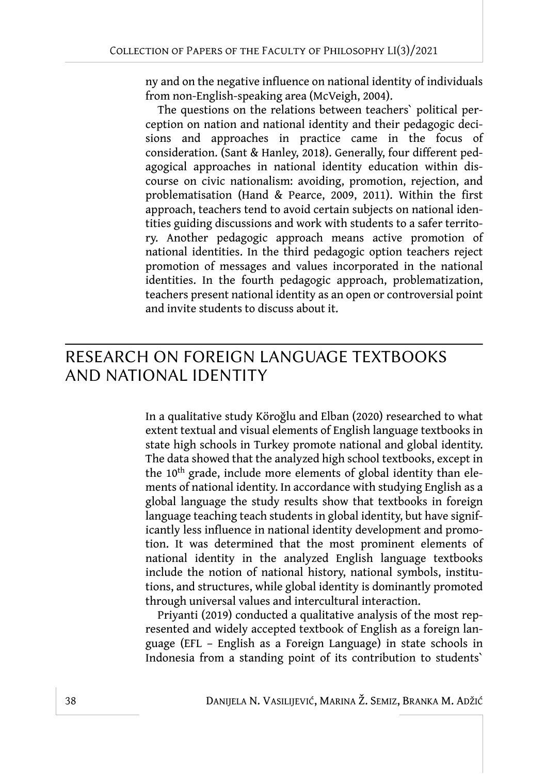ny and on the negative influence on national identity of individuals from non-English-speaking area (McVeigh, 2004).

The questions on the relations between teachers` political perception on nation and national identity and their pedagogic decisions and approaches in practice came in the focus of consideration. (Sant & Hanley, 2018). Generally, four different pedagogical approaches in national identity education within discourse on civic nationalism: avoiding, promotion, rejection, and problematisation (Hand & Pearce, 2009, 2011). Within the first approach, teachers tend to avoid certain subjects on national identities guiding discussions and work with students to a safer territory. Another pedagogic approach means active promotion of national identities. In the third pedagogic option teachers reject promotion of messages and values incorporated in the national identities. In the fourth pedagogic approach, problematization, teachers present national identity as an open or controversial point and invite students to discuss about it.

## RESEARCH ON FOREIGN LANGUAGE TEXTBOOKS AND NATIONAL IDENTITY

In a qualitative study Köroğlu and Elban (2020) researched to what extent textual and visual elements of English language textbooks in state high schools in Turkey promote national and global identity. The data showed that the analyzed high school textbooks, except in the  $10<sup>th</sup>$  grade, include more elements of global identity than elements of national identity. In accordance with studying English as a global language the study results show that textbooks in foreign language teaching teach students in global identity, but have significantly less influence in national identity development and promotion. It was determined that the most prominent elements of national identity in the analyzed English language textbooks include the notion of national history, national symbols, institutions, and structures, while global identity is dominantly promoted through universal values and intercultural interaction.

Priyanti (2019) conducted a qualitative analysis of the most represented and widely accepted textbook of English as a foreign language (EFL – English as a Foreign Language) in state schools in Indonesia from a standing point of its contribution to students`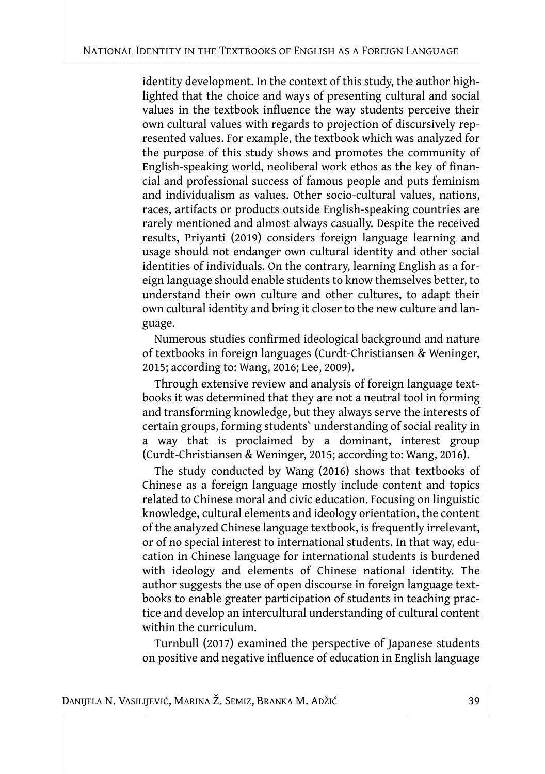identity development. In the context of this study, the author highlighted that the choice and ways of presenting cultural and social values in the textbook influence the way students perceive their own cultural values with regards to projection of discursively represented values. For example, the textbook which was analyzed for the purpose of this study shows and promotes the community of English-speaking world, neoliberal work ethos as the key of financial and professional success of famous people and puts feminism and individualism as values. Other socio-cultural values, nations, races, artifacts or products outside English-speaking countries are rarely mentioned and almost always casually. Despite the received results, Priyanti (2019) considers foreign language learning and usage should not endanger own cultural identity and other social identities of individuals. On the contrary, learning English as a foreign language should enable students to know themselves better, to understand their own culture and other cultures, to adapt their own cultural identity and bring it closer to the new culture and language.

Numerous studies confirmed ideological background and nature of textbooks in foreign languages (Curdt-Christiansen & Weninger, 2015; according to: Wang, 2016; Lee, 2009).

Through extensive review and analysis of foreign language textbooks it was determined that they are not a neutral tool in forming and transforming knowledge, but they always serve the interests of certain groups, forming students` understanding of social reality in a way that is proclaimed by a dominant, interest group (Curdt-Christiansen & Weninger, 2015; according to: Wang, 2016).

The study conducted by Wang (2016) shows that textbooks of Chinese as a foreign language mostly include content and topics related to Chinese moral and civic education. Focusing on linguistic knowledge, cultural elements and ideology orientation, the content of the analyzed Chinese language textbook, is frequently irrelevant, or of no special interest to international students. In that way, education in Chinese language for international students is burdened with ideology and elements of Chinese national identity. The author suggests the use of open discourse in foreign language textbooks to enable greater participation of students in teaching practice and develop an intercultural understanding of cultural content within the curriculum.

Turnbull (2017) examined the perspective of Japanese students on positive and negative influence of education in English language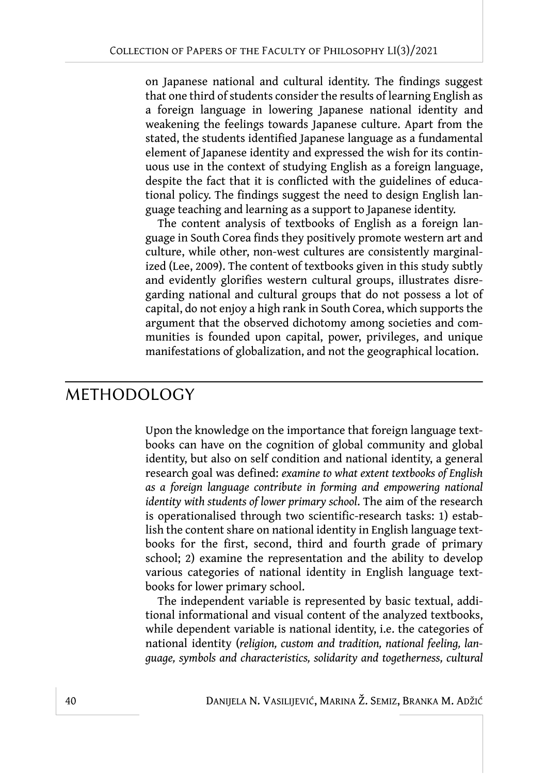on Japanese national and cultural identity. The findings suggest that one third of students consider the results of learning English as a foreign language in lowering Japanese national identity and weakening the feelings towards Japanese culture. Apart from the stated, the students identified Japanese language as a fundamental element of Japanese identity and expressed the wish for its continuous use in the context of studying English as a foreign language, despite the fact that it is conflicted with the guidelines of educational policy. The findings suggest the need to design English language teaching and learning as a support to Japanese identity.

The content analysis of textbooks of English as a foreign language in South Corea finds they positively promote western art and culture, while other, non-west cultures are consistently marginalized (Lee, 2009). The content of textbooks given in this study subtly and evidently glorifies western cultural groups, illustrates disregarding national and cultural groups that do not possess a lot of capital, do not enjoy a high rank in South Corea, which supports the argument that the observed dichotomy among societies and communities is founded upon capital, power, privileges, and unique manifestations of globalization, and not the geographical location.

#### METHODOLOGY

Upon the knowledge on the importance that foreign language textbooks can have on the cognition of global community and global identity, but also on self condition and national identity, a general research goal was defined: *examine to what extent textbooks of English as a foreign language contribute in forming and empowering national identity with students of lower primary school*. The aim of the research is operationalised through two scientific-research tasks: 1) establish the content share on national identity in English language textbooks for the first, second, third and fourth grade of primary school; 2) examine the representation and the ability to develop various categories of national identity in English language textbooks for lower primary school.

The independent variable is represented by basic textual, additional informational and visual content of the analyzed textbooks, while dependent variable is national identity, i.e. the categories of national identity (*religion, custom and tradition, national feeling, language, symbols and characteristics, solidarity and togetherness, cultural*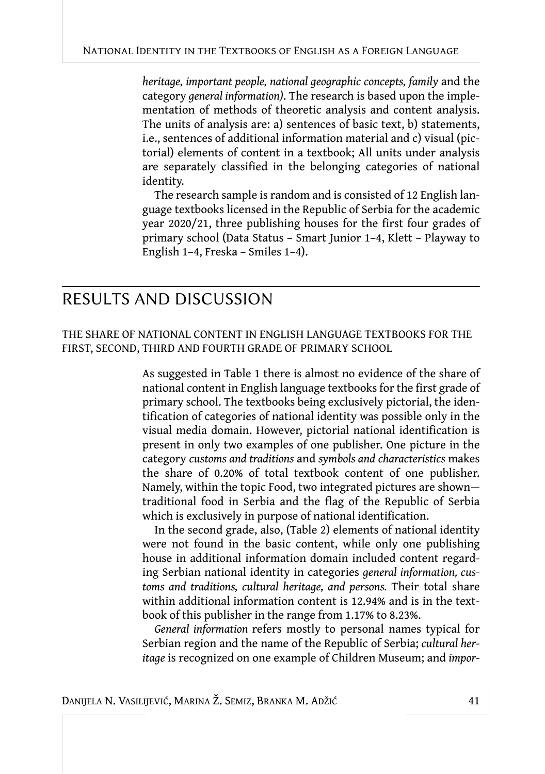*heritage, important people, national geographic concepts, family* and the category *general information)*. The research is based upon the implementation of methods of theoretic analysis and content analysis. The units of analysis are: a) sentences of basic text, b) statements, i.e., sentences of additional information material and c) visual (pictorial) elements of content in a textbook; All units under analysis are separately classified in the belonging categories of national identity.

The research sample is random and is consisted of 12 English language textbooks licensed in the Republic of Serbia for the academic year 2020/21, three publishing houses for the first four grades of primary school (Data Status – Smart Junior 1–4, Klett – Playway to English 1–4, Freska – Smiles 1–4).

### RESULTS AND DISCUSSION

THE SHARE OF NATIONAL CONTENT IN ENGLISH LANGUAGE TEXTBOOKS FOR THE FIRST, SECOND, THIRD AND FOURTH GRADE OF PRIMARY SCHOOL

> As suggested in Table 1 there is almost no evidence of the share of national content in English language textbooks for the first grade of primary school. The textbooks being exclusively pictorial, the identification of categories of national identity was possible only in the visual media domain. However, pictorial national identification is present in only two examples of one publisher. One picture in the category *customs and traditions* and *symbols and characteristics* makes the share of 0.20% of total textbook content of one publisher. Namely, within the topic Food, two integrated pictures are shown traditional food in Serbia and the flag of the Republic of Serbia which is exclusively in purpose of national identification.

> In the second grade, also, (Table 2) elements of national identity were not found in the basic content, while only one publishing house in additional information domain included content regarding Serbian national identity in categories *general information, customs and traditions, cultural heritage, and persons.* Their total share within additional information content is 12.94% and is in the textbook of this publisher in the range from 1.17% to 8.23%.

> *General information* refers mostly to personal names typical for Serbian region and the name of the Republic of Serbia; *cultural heritage* is recognized on one example of Children Museum; and *impor-*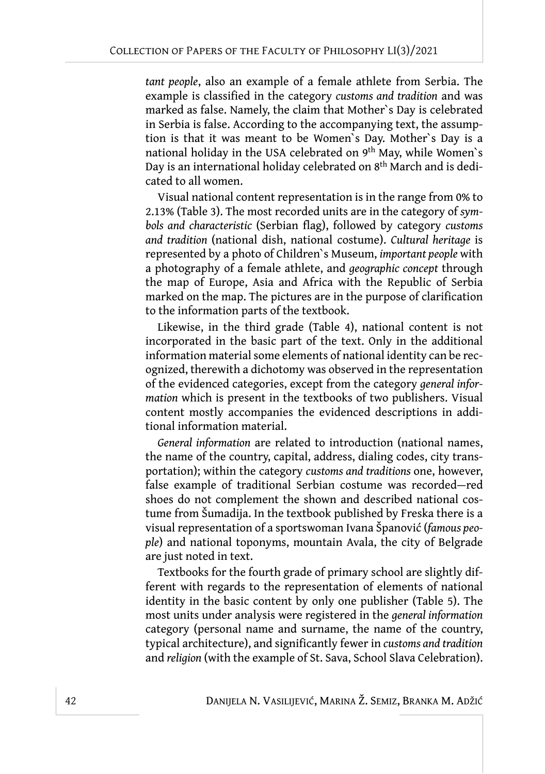*tant people*, also an example of a female athlete from Serbia. The example is classified in the category *customs and tradition* and was marked as false. Namely, the claim that Mother`s Day is celebrated in Serbia is false. According to the accompanying text, the assumption is that it was meant to be Women`s Day. Mother`s Day is a national holiday in the USA celebrated on 9th May, while Women`s Day is an international holiday celebrated on 8<sup>th</sup> March and is dedicated to all women.

Visual national content representation is in the range from 0% tо 2.13% (Table 3). The most recorded units are in the category of *symbols and characteristic* (Serbian flag), followed by category *customs and tradition* (national dish, national costume). *Cultural heritage* is represented by a photo of Children`s Museum, *important people* with a photography of a female athlete, and *geographic concept* through the map of Europe, Asia and Africa with the Republic of Serbia marked on the map. The pictures are in the purpose of clarification to the information parts of the textbook.

Likewise, in the third grade (Table 4), national content is not incorporated in the basic part of the text. Only in the additional information material some elements of national identity can be recognized, therewith a dichotomy was observed in the representation of the evidenced categories, except from the category *general information* which is present in the textbooks of two publishers. Visual content mostly accompanies the evidenced descriptions in additional information material.

*General information* are related to introduction (national names, the name of the country, capital, address, dialing codes, city transportation); within the category *customs and traditions* one, however, false example of traditional Serbian costume was recorded—red shoes do not complement the shown and described national costume from Šumadija. In the textbook published by Freska there is a visual representation of a sportswoman Ivana Španović (*famous people*) and national toponyms, mountain Avala, the city of Belgrade are just noted in text.

Textbooks for the fourth grade of primary school are slightly different with regards to the representation of elements of national identity in the basic content by only one publisher (Table 5). The most units under analysis were registered in the *general information* category (personal name and surname, the name of the country, typical architecture), and significantly fewer in *customs and tradition* and *religion* (with the example of St. Sava, School Slava Celebration).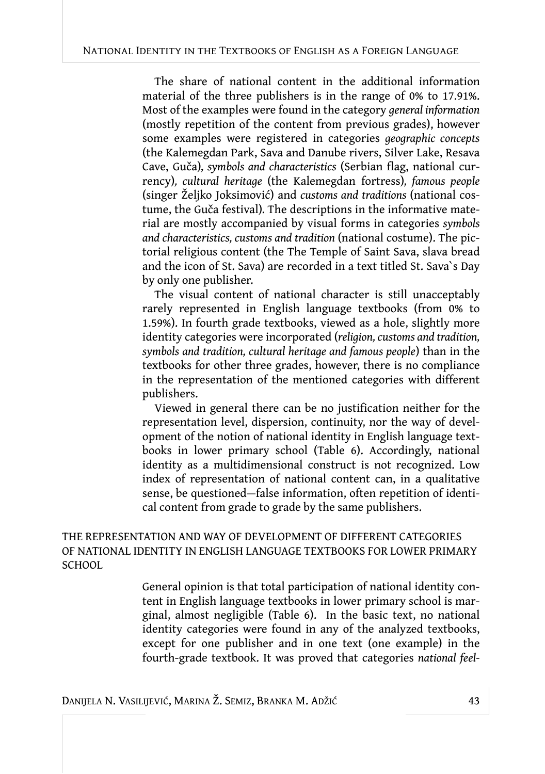The share of national content in the additional information material of the three publishers is in the range of 0% to 17.91%. Most of the examples were found in the category *general information* (mostly repetition of the content from previous grades), however some examples were registered in categories *geographic concepts* (the Kalemegdan Park, Sava and Danube rivers, Silver Lake, Resava Cave, Guča)*, symbols and characteristics* (Serbian flag, national currency)*, cultural heritage* (the Kalemegdan fortress)*, famous people* (singer Željko Joksimović) and *customs and traditions* (national costume, the Guča festival)*.* The descriptions in the informative material are mostly accompanied by visual forms in categories *symbols and characteristics, customs and tradition* (national costume). The pictorial religious content (the The Temple of Saint Sava, slava bread and the icon of St. Sava) are recorded in a text titled St. Sava`s Day by only one publisher.

The visual content of national character is still unacceptably rarely represented in English language textbooks (from 0% tо 1.59%). In fourth grade textbooks, viewed as a hole, slightly more identity categories were incorporated (*religion, customs and tradition, symbols and tradition, cultural heritage and famous people*) than in the textbooks for other three grades, however, there is no compliance in the representation of the mentioned categories with different publishers.

Viewed in general there can be no justification neither for the representation level, dispersion, continuity, nor the way of development of the notion of national identity in English language textbooks in lower primary school (Table 6). Accordingly, national identity as a multidimensional construct is not recognized. Low index of representation of national content can, in a qualitative sense, be questioned—false information, often repetition of identical content from grade to grade by the same publishers.

#### THE REPRESENTATION AND WAY OF DEVELOPMENT OF DIFFERENT CATEGORIES OF NATIONAL IDENTITY IN ENGLISH LANGUAGE TEXTBOOKS FOR LOWER PRIMARY **SCHOOL**

General opinion is that total participation of national identity content in English language textbooks in lower primary school is marginal, almost negligible (Table 6). In the basic text, no national identity categories were found in any of the analyzed textbooks, except for one publisher and in one text (one example) in the fourth-grade textbook. It was proved that categories *national feel-*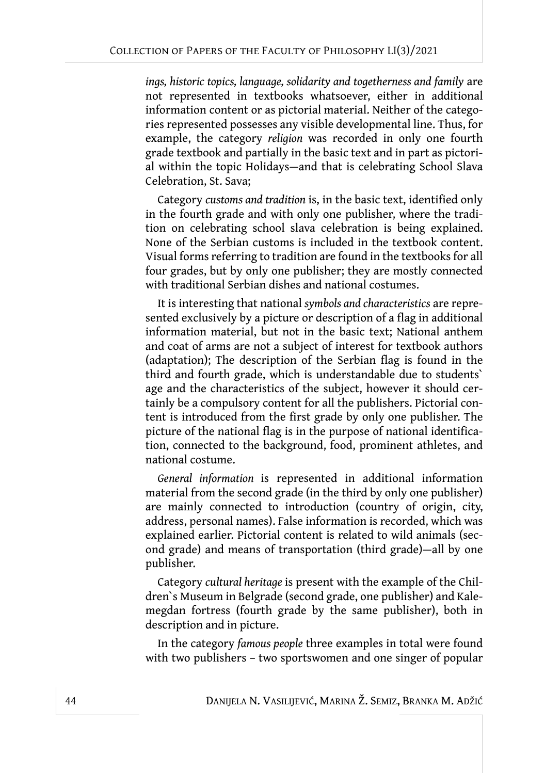*ings, historic topics, language, solidarity and togetherness and family* are not represented in textbooks whatsoever, either in additional information content or as pictorial material. Neither of the categories represented possesses any visible developmental line. Thus, for example, the category *religion* was recorded in only one fourth grade textbook and partially in the basic text and in part as pictorial within the topic Holidays—and that is celebrating School Slava Celebration, St. Sava;

Category *customs and tradition* is, in the basic text, identified only in the fourth grade and with only one publisher, where the tradition on celebrating school slava celebration is being explained. None of the Serbian customs is included in the textbook content. Visual forms referring to tradition are found in the textbooks for all four grades, but by only one publisher; they are mostly connected with traditional Serbian dishes and national costumes.

It is interesting that national *symbols and characteristics* are represented exclusively by a picture or description of a flag in additional information material, but not in the basic text; National anthem and coat of arms are not a subject of interest for textbook authors (adaptation); The description of the Serbian flag is found in the third and fourth grade, which is understandable due to students` age and the characteristics of the subject, however it should certainly be a compulsory content for all the publishers. Pictorial content is introduced from the first grade by only one publisher. The picture of the national flag is in the purpose of national identification, connected to the background, food, prominent athletes, and national costume.

*General information* is represented in additional information material from the second grade (in the third by only one publisher) are mainly connected to introduction (country of origin, city, address, personal names). False information is recorded, which was explained earlier. Pictorial content is related to wild animals (second grade) and means of transportation (third grade)—all by one publisher.

Category *cultural heritage* is present with the example of the Children`s Museum in Belgrade (second grade, one publisher) and Kalemegdan fortress (fourth grade by the same publisher), both in description and in picture.

In the category *famous people* three examples in total were found with two publishers – two sportswomen and one singer of popular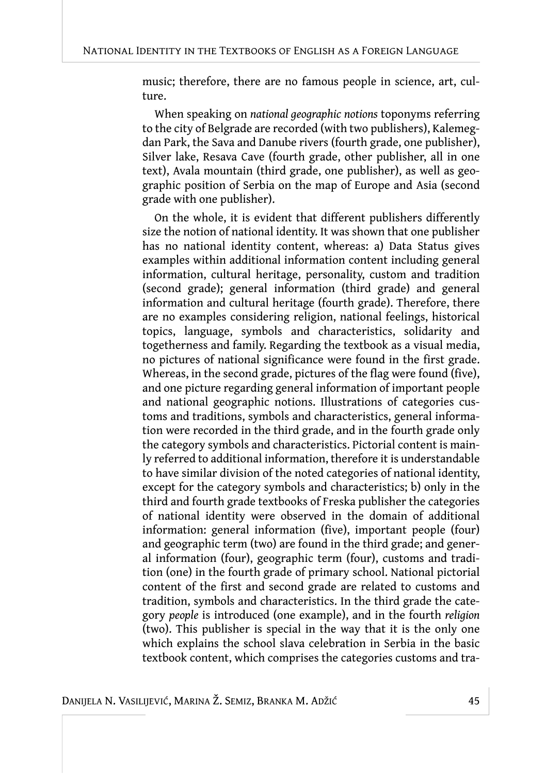music; therefore, there are no famous people in science, art, culture.

When speaking on *national geographic notions* toponyms referring to the city of Belgrade are recorded (with two publishers), Kalemegdan Park, the Sava and Danube rivers (fourth grade, one publisher), Silver lake, Resava Cave (fourth grade, other publisher, all in one text), Avala mountain (third grade, one publisher), as well as geographic position of Serbia on the map of Europe and Asia (second grade with one publisher).

On the whole, it is evident that different publishers differently size the notion of national identity. It was shown that one publisher has no national identity content, whereas: a) Data Status gives examples within additional information content including general information, cultural heritage, personality, custom and tradition (second grade); general information (third grade) and general information and cultural heritage (fourth grade). Therefore, there are no examples considering religion, national feelings, historical topics, language, symbols and characteristics, solidarity and togetherness and family. Regarding the textbook as a visual media, no pictures of national significance were found in the first grade. Whereas, in the second grade, pictures of the flag were found (five), and one picture regarding general information of important people and national geographic notions. Illustrations of categories customs and traditions, symbols and characteristics, general information were recorded in the third grade, and in the fourth grade only the category symbols and characteristics. Pictorial content is mainly referred to additional information, therefore it is understandable to have similar division of the noted categories of national identity, except for the category symbols and characteristics; b) only in the third and fourth grade textbooks of Freska publisher the categories of national identity were observed in the domain of additional information: general information (five), important people (four) and geographic term (two) are found in the third grade; аnd general information (four), geographic term (four), customs and tradition (one) in the fourth grade of primary school. National pictorial content of the first and second grade are related to customs and tradition, symbols and characteristics. In the third grade the category *people* is introduced (one example), and in the fourth *religion* (two). This publisher is special in the way that it is the only one which explains the school slava celebration in Serbia in the basic textbook content, which comprises the categories customs and tra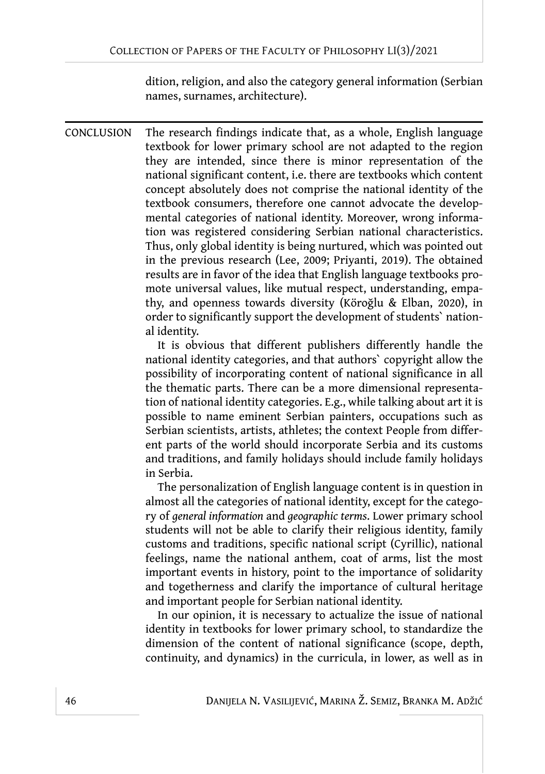dition, religion, and also the category general information (Serbian names, surnames, architecture).

CONCLUSION The research findings indicate that, as a whole, English language textbook for lower primary school are not adapted to the region they are intended, since there is minor representation of the national significant content, i.e. there are textbooks which content concept absolutely does not comprise the national identity of the textbook consumers, therefore one cannot advocate the developmental categories of national identity. Moreover, wrong information was registered considering Serbian national characteristics. Thus, only global identity is being nurtured, which was pointed out in the previous research (Lee, 2009; Priyanti, 2019). The obtained results are in favor of the idea that English language textbooks promote universal values, like mutual respect, understanding, empathy, and openness towards diversity (Köroğlu & Elban, 2020), in order to significantly support the development of students` national identity.

> It is obvious that different publishers differently handle the national identity categories, and that authors` copyright allow the possibility of incorporating content of national significance in all the thematic parts. There can be a more dimensional representation of national identity categories. E.g., while talking about art it is possible to name eminent Serbian painters, occupations such as Serbian scientists, artists, athletes; the context People from different parts of the world should incorporate Serbia and its customs and traditions, and family holidays should include family holidays in Serbia.

> The personalization of English language content is in question in almost all the categories of national identity, except for the category of *general information* and *geographic terms*. Lower primary school students will not be able to clarify their religious identity, family customs and traditions, specific national script (Cyrillic), national feelings, name the national anthem, coat of arms, list the most important events in history, point to the importance of solidarity and togetherness and clarify the importance of cultural heritage and important people for Serbian national identity.

> In our opinion, it is necessary to actualize the issue of national identity in textbooks for lower primary school, to standardize the dimension of the content of national significance (scope, depth, continuity, and dynamics) in the curricula, in lower, as well as in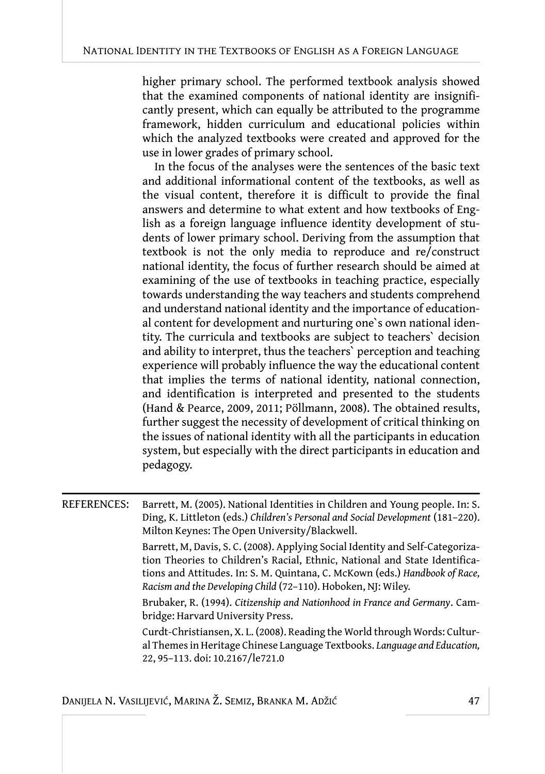higher primary school. The performed textbook analysis showed that the examined components of national identity are insignificantly present, which can equally be attributed to the programme framework, hidden curriculum and educational policies within which the analyzed textbooks were created and approved for the use in lower grades of primary school.

In the focus of the analyses were the sentences of the basic text and additional informational content of the textbooks, as well as the visual content, therefore it is difficult to provide the final answers and determine to what extent and how textbooks of English as a foreign language influence identity development of students of lower primary school. Deriving from the assumption that textbook is not the only media to reproduce and re/construct national identity, the focus of further research should be aimed at examining of the use of textbooks in teaching practice, especially towards understanding the way teachers and students comprehend and understand national identity and the importance of educational content for development and nurturing one`s own national identity. The curricula and textbooks are subject to teachers` decision and ability to interpret, thus the teachers` perception and teaching experience will probably influence the way the educational content that implies the terms of national identity, national connection, and identification is interpreted and presented to the students (Hand & Pearce, 2009, 2011; Pöllmann, 2008). The obtained results, further suggest the necessity of development of critical thinking on the issues of national identity with all the participants in education system, but especially with the direct participants in education and pedagogy.

REFERENCES: Barrett, M. (2005). National Identities in Children and Young people. In: S. Ding, K. Littleton (eds.) *Children's Personal and Social Development* (181–220). Milton Keynes: The Open University/Blackwell.

Barrett, M, Davis, S. C. (2008). Applying Social Identity and Self-Categorization Theories to Children's Racial, Ethnic, National and State Identifications and Attitudes. In: S. M. Quintana, C. McKown (eds.) *Handbook of Race, Racism and the Developing Child* (72–110). Hoboken, NJ: Wiley.

Brubaker, R. (1994). *Citizenship and Nationhood in France and Germany*. Cambridge: Harvard University Press.

Curdt-Christiansen, X. L. (2008). Reading the World through Words: Cultural Themes in Heritage Chinese Language Textbooks. *Language and Education,* 22, 95–113. doi: 10.2167/le721.0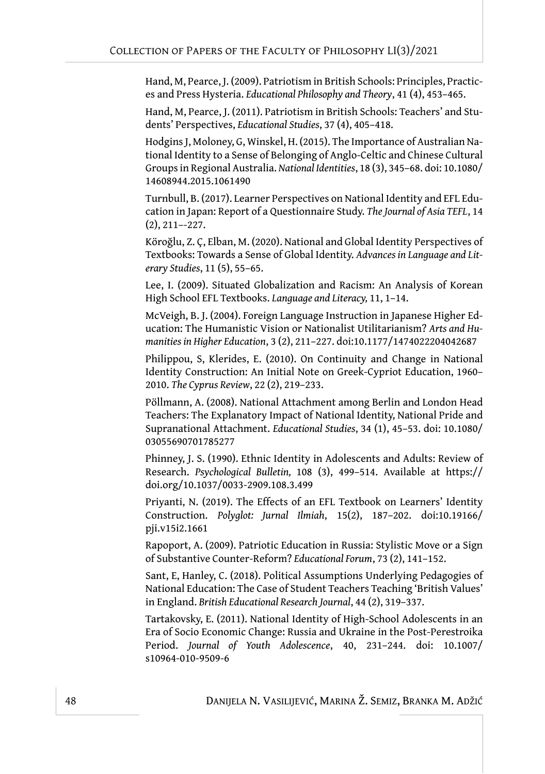Hand, M, Pearce, J. (2009). Patriotism in British Schools: Principles, Practices and Press Hysteria. *Educational Philosophy and Theory*, 41 (4), 453–465.

Hand, M, Pearce, J. (2011). Patriotism in British Schools: Teachers' and Students' Perspectives, *Educational Studies*, 37 (4), 405–418.

Hodgins J, Moloney, G, Winskel, H. (2015). The Importance of Australian National Identity to a Sense of Belonging of Anglo-Celtic and Chinese Cultural Groups in Regional Australia. *National Identities*, 18 (3), 345–68. doi: 10.1080/ 14608944.2015.1061490

Turnbull, B. (2017). Learner Perspectives on National Identity and EFL Education in Japan: Report of a Questionnaire Study. *The Journal of Asia TEFL*, 14 (2), 211–-227.

Köroğlu, Z. Ç, Elban, M. (2020). National and Global Identity Perspectives of Textbooks: Towards a Sense of Global Identity. *Advances in Language and Literary Studies*, 11 (5), 55–65.

Lee, I. (2009). Situated Globalization and Racism: An Analysis of Korean High School EFL Textbooks. *Language and Literacy,* 11, 1–14.

McVeigh, B. J. (2004). Foreign Language Instruction in Japanese Higher Education: The Humanistic Vision or Nationalist Utilitarianism? *Arts and Humanities in Higher Education*, 3 (2), 211–227. doi:10.1177/1474022204042687

Philippou, S, Klerides, E. (2010). On Continuity and Change in National Identity Construction: An Initial Note on Greek-Cypriot Education, 1960– 2010. *The Cyprus Review*, 22 (2), 219–233.

Pöllmann, А. (2008). National Attachment among Berlin and London Head Teachers: Тhe Explanatory Impact of National Identity, National Pride and Supranational Attachment. *Educational Studies*, 34 (1), 45–53. doi: 10.1080/ 03055690701785277

Phinney, J. S. (1990). Ethnic Identity in Adolescents and Adults: Review of Research. *Psychological Bulletin,* 108 (3), 499–514. Available at https:// doi.org/10.1037/0033-2909.108.3.499

Priyanti, N. (2019). The Effects of an EFL Textbook on Learners' Identity Construction. *Polyglot: Jurnal Ilmiah*, 15(2), 187–202. doi:10.19166/ pji.v15i2.1661

Rapoport, A. (2009). Patriotic Education in Russia: Stylistic Move or a Sign of Substantive Counter-Reform? *Educational Forum*, 73 (2), 141–152.

Sant, E, Hanley, C. (2018). Political Assumptions Underlying Pedagogies of National Education: The Case of Student Teachers Teaching 'British Values' in England. *British Educational Research Journal*, 44 (2), 319–337.

Tartakovsky, Е. (2011). National Identity of High-School Adolescents in an Era of Socio Economic Change: Russia and Ukraine in the Post-Perestroika Period. *Journal of Youth Adolescence*, 40, 231–244. doi: 10.1007/ s10964-010-9509-6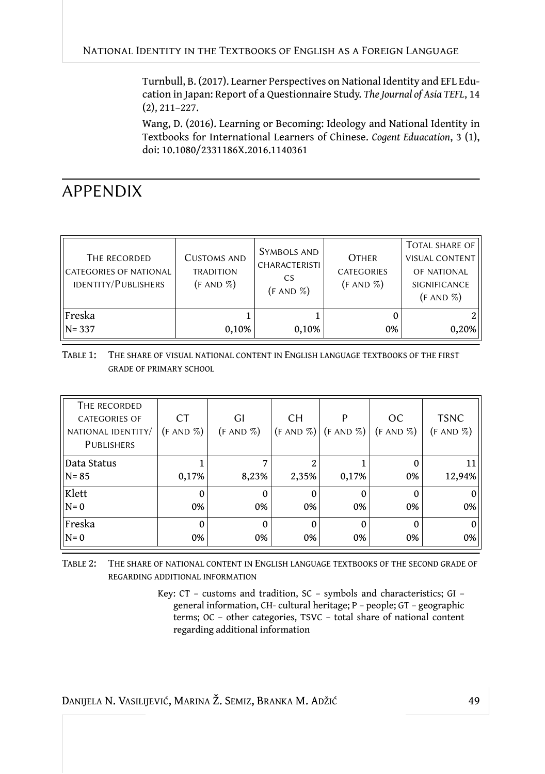Turnbull, B. (2017). Learner Perspectives on National Identity and EFL Education in Japan: Report of a Questionnaire Study. *The Journal of Asia TEFL*, 14 (2), 211–227.

Wang, D. (2016). Learning or Becoming: Ideology and National Identity in Textbooks for International Learners of Chinese. *Cogent Eduacation*, 3 (1), doi: 10.1080/2331186X.2016.1140361

# APPENDIX

| THE RECORDED<br>IICATEGORIES OF NATIONAL<br>IDENTITY/PUBLISHERS | <b>CUSTOMS AND</b><br><b>TRADITION</b><br>$(F AND \%)$ | SYMBOLS AND<br><b>CHARACTERISTI</b><br>CS<br>(F AND %) | <b>OTHER</b><br><b>CATEGORIES</b><br>$(F AND \%)$ | <b>TOTAL SHARE OF</b><br><b>VISUAL CONTENT</b><br>OF NATIONAL<br>SIGNIFICANCE<br>$(F AND \%)$ |
|-----------------------------------------------------------------|--------------------------------------------------------|--------------------------------------------------------|---------------------------------------------------|-----------------------------------------------------------------------------------------------|
| Freska<br>$N = 337$                                             | 0,10%                                                  | 0,10%                                                  | 0%                                                | 0,20%                                                                                         |

TABLE 1: THE SHARE OF VISUAL NATIONAL CONTENT IN ENGLISH LANGUAGE TEXTBOOKS OF THE FIRST GRADE OF PRIMARY SCHOOL

| THE RECORDED<br><b>CATEGORIES OF</b><br>NATIONAL IDENTITY/<br><b>PUBLISHERS</b> | <b>CT</b><br>$(F AND \%)$ | GI<br>$(F AND \%)$ | <b>CH</b>      | P<br>$(F AND \% )$ $(F AND \% )$ $(F AND \% )$ | OC      | <b>TSNC</b><br>(F AND %) |
|---------------------------------------------------------------------------------|---------------------------|--------------------|----------------|------------------------------------------------|---------|--------------------------|
| Data Status<br>$N = 85$                                                         | 0,17%                     | 8,23%              | 2,35%          | 0,17%                                          | 0%      | 12,94%                   |
| Klett                                                                           | 0                         | 0                  | $\Omega$       |                                                |         |                          |
| $N=0$<br>  Freska                                                               | 0%<br>$\Omega$            | 0%<br>$\Omega$     | 0%<br>$\Omega$ | 0%<br>$\Omega$                                 | 0%<br>O | 0%                       |
| $N=0$                                                                           | 0%                        | 0%                 | 0%             | 0%                                             | 0%      | $\Omega$<br>0%           |

TABLE 2: THE SHARE OF NATIONAL CONTENT IN ENGLISH LANGUAGE TEXTBOOKS OF THE SECOND GRADE OF REGARDING ADDITIONAL INFORMATION

> Key: CТ – customs and tradition, SC – symbols and characteristics; GI – general information, CH- cultural heritage; P – people; GT – geographic terms; ОC – other categories, TSVC – total share of national content regarding additional information

DANIJELA N. VASILIJEVIĆ, MARINA Ž. SEMIZ, BRANKA M. ADŽIĆ 49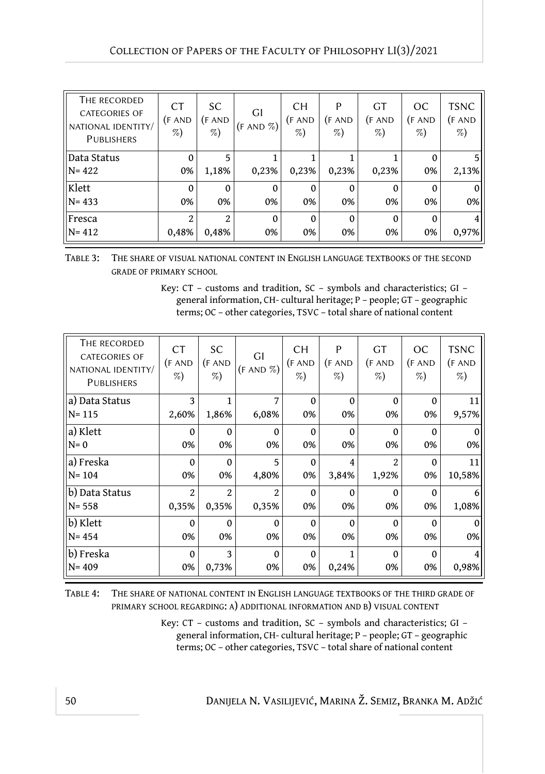| THE RECORDED<br><b>CATEGORIES OF</b><br>NATIONAL IDENTITY/<br><b>PUBLISHERS</b> | <b>CT</b><br>(F AND<br>$\%)$ | <sub>SC</sub><br>(FAND)<br>$\%)$ | GI<br>$(F AND \%)$ | <b>CH</b><br>(F AND<br>$\%)$ | P<br>(F AND<br>$\%)$ | <b>GT</b><br>(F AND)<br>$\%$ | OC<br>(F AND<br>$\%)$ | <b>TSNC</b><br>(F AND<br>$\%)$ |
|---------------------------------------------------------------------------------|------------------------------|----------------------------------|--------------------|------------------------------|----------------------|------------------------------|-----------------------|--------------------------------|
| Data Status                                                                     | $\mathbf 0$                  | 5                                |                    |                              |                      |                              | 0                     | 51                             |
| $N = 422$                                                                       | 0%                           | 1,18%                            | 0,23%              | 0,23%                        | 0,23%                | 0,23%                        | 0%                    | 2,13%                          |
| Klett                                                                           | $\mathbf 0$                  | $\Omega$                         | $\theta$           | $\mathbf 0$                  | $\mathbf{0}$         | $\Omega$                     | 0                     | $\overline{0}$                 |
| $N = 433$                                                                       | 0%                           | 0%                               | 0%                 | 0%                           | 0%                   | 0%                           | 0%                    | 0%                             |
| Fresca                                                                          | 2                            | $\mathfrak{D}$                   | $\Omega$           | $\Omega$                     | $\Omega$             | $\Omega$                     | $\Omega$              | 4                              |
| $N = 412$                                                                       | 0,48%                        | 0,48%                            | 0%                 | 0%                           | 0%                   | 0%                           | 0%                    | 0,97%                          |

TABLE 3: THE SHARE OF VISUAL NATIONAL CONTENT IN ENGLISH LANGUAGE TEXTBOOKS OF THE SECOND GRADE OF PRIMARY SCHOOL

Key: CТ – customs and tradition, SC – symbols and characteristics; GI – general information, CH- cultural heritage; P – people; GT – geographic terms; ОC – other categories, TSVC – total share of national content

| THE RECORDED<br><b>CATEGORIES OF</b><br>NATIONAL IDENTITY/<br><b>PUBLISHERS</b> | <b>CT</b><br>(F AND)<br>$\%)$ | <b>SC</b><br>(F AND)<br>$\%)$ | GI<br>(F AND %) | <b>CH</b><br>(F AND<br>%) | P<br>(F AND)<br>$\%)$ | <b>GT</b><br>(F AND)<br>$\%)$ | OC<br>(F AND)<br>$\%)$ | <b>TSNC</b><br>(F AND<br>$\%)$ |
|---------------------------------------------------------------------------------|-------------------------------|-------------------------------|-----------------|---------------------------|-----------------------|-------------------------------|------------------------|--------------------------------|
| a) Data Status                                                                  | 3                             | 1                             | 7               | $\mathbf{0}$              | $\Omega$              | $\theta$                      | $\Omega$               | 11                             |
| $N = 115$                                                                       | 2,60%                         | 1,86%                         | 6,08%           | 0%                        | 0%                    | 0%                            | 0%                     | 9,57%                          |
| a) Klett                                                                        | $\theta$                      | $\Omega$                      | $\theta$        | $\Omega$                  | $\Omega$              | $\Omega$                      | $\Omega$               | $\theta$                       |
| $N=0$                                                                           | 0%                            | 0%                            | 0%              | 0%                        | 0%                    | 0%                            | 0%                     | 0%                             |
| a) Freska                                                                       | $\Omega$                      | $\Omega$                      | 5               | $\mathbf 0$               | $\overline{4}$        | $\mathfrak{D}$                | $\mathbf 0$            | 11                             |
| $N = 104$                                                                       | 0%                            | 0%                            | 4,80%           | 0%                        | 3,84%                 | 1,92%                         | 0%                     | 10,58%                         |
| b) Data Status                                                                  | 2                             | $\overline{2}$                | $\overline{c}$  | $\Omega$                  | $\Omega$              | $\Omega$                      | $\theta$               | 6                              |
| $N = 558$                                                                       | 0,35%                         | 0,35%                         | 0,35%           | 0%                        | 0%                    | 0%                            | 0%                     | 1,08%                          |
| b) Klett                                                                        | $\bf{0}$                      | $\Omega$                      | $\mathbf{0}$    | $\Omega$                  | $\Omega$              | $\Omega$                      | $\Omega$               | $\overline{0}$                 |
| $N = 454$                                                                       | 0%                            | 0%                            | 0%              | 0%                        | 0%                    | 0%                            | 0%                     | $0\%$                          |
| b) Freska                                                                       | $\Omega$                      | 3                             | $\mathbf{0}$    | $\mathbf{0}$              | 1                     | $\Omega$                      | $\mathbf{0}$           | 4                              |
| $N = 409$                                                                       | 0%                            | 0,73%                         | 0%              | 0%                        | 0,24%                 | 0%                            | 0%                     | 0,98%                          |

TABLE 4: THE SHARE OF NATIONAL CONTENT IN ENGLISH LANGUAGE TEXTBOOKS OF THE THIRD GRADE OF PRIMARY SCHOOL REGARDING: А) ADDITIONAL INFORMATION AND B) VISUAL CONTENT

> Key: CТ – customs and tradition, SC – symbols and characteristics; GI – general information, CH- cultural heritage; P – people; GT – geographic terms; ОC – other categories, TSVC – total share of national content

50 DANIJELA N. VASILIJEVIĆ, MARINA Ž. SEMIZ, BRANKA M. ADŽIĆ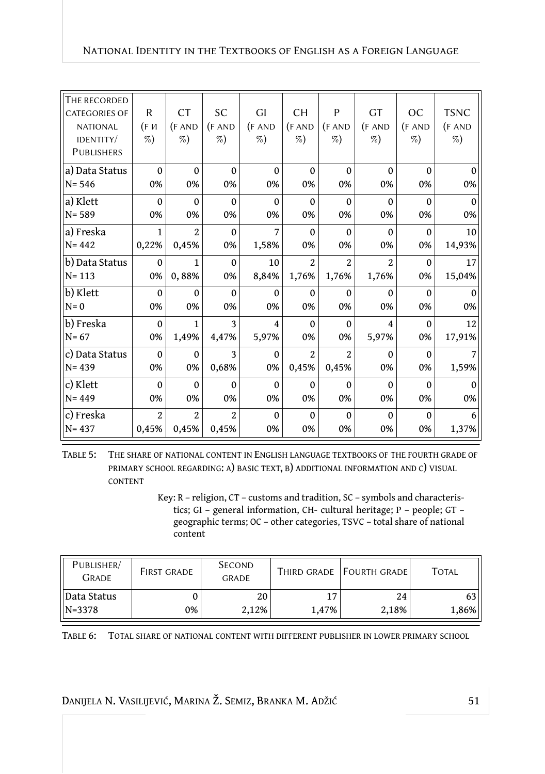| THE RECORDED         |                |                |                |                |                           |                |                |               |             |
|----------------------|----------------|----------------|----------------|----------------|---------------------------|----------------|----------------|---------------|-------------|
| <b>CATEGORIES OF</b> | R              | <b>CT</b>      | <b>SC</b>      | GI             | <b>CH</b>                 | P              | <b>GT</b>      | <sub>OC</sub> | <b>TSNC</b> |
| <b>NATIONAL</b>      | (FИ            | (FAND)         | (FAND)         | (F AND)        | (FAND)                    | (FAND)         | (F AND)        | (F AND)       | (FAND)      |
| IDENTITY/            | %)             | %)             | $\%$           | %              | %)                        | $\%)$          | %)             | $\%)$         | $\%)$       |
| <b>PUBLISHERS</b>    |                |                |                |                |                           |                |                |               |             |
| a) Data Status       | $\mathbf 0$    | $\mathbf 0$    | $\Omega$       | $\mathbf{0}$   | $\Omega$                  | $\mathbf{0}$   | $\Omega$       | $\Omega$      | 0           |
| $N = 546$            | 0%             | 0%             | 0%             | 0%             | 0%                        | 0%             | 0%             | 0%            | 0%          |
| a) Klett             | $\theta$       | $\mathbf{0}$   | $\Omega$       | $\mathbf{0}$   | $\Omega$                  | $\Omega$       | $\Omega$       | $\Omega$      | $\Omega$    |
| $N = 589$            | 0%             | 0%             | 0%             | 0%             | 0%                        | 0%             | 0%             | 0%            | 0%          |
| a) Freska            | 1              | $\overline{2}$ | $\mathbf{0}$   | 7              | $\Omega$                  | $\mathbf{0}$   | $\Omega$       | $\Omega$      | 10          |
| $N = 442$            | 0,22%          | 0,45%          | 0%             | 1,58%          | 0%                        | 0%             | 0%             | 0%            | 14,93%      |
| b) Data Status       | $\mathbf{0}$   | 1              | $\mathbf{0}$   | 10             | $\overline{2}$            | $\overline{2}$ | $\overline{2}$ | $\Omega$      | 17          |
| $N = 113$            | 0%             | 0,88%          | 0%             | 8,84%          | 1,76%                     | 1,76%          | 1,76%          | 0%            | 15,04%      |
| b) Klett             | $\mathbf{0}$   | $\mathbf{0}$   | $\Omega$       | $\mathbf 0$    | $\Omega$                  | $\Omega$       | $\Omega$       | $\Omega$      | $\Omega$    |
| $N=0$                | 0%             | 0%             | 0%             | 0%             | 0%                        | 0%             | 0%             | 0%            | 0%          |
| b) Freska            | $\mathbf 0$    | 1              | 3              | $\overline{4}$ | $\Omega$                  | $\mathbf{0}$   | $\overline{4}$ | $\Omega$      | 12          |
| $N = 67$             | 0%             | 1,49%          | 4,47%          | 5,97%          | 0%                        | 0%             | 5,97%          | 0%            | 17,91%      |
| c) Data Status       | $\mathbf 0$    | $\mathbf 0$    | 3              | $\mathbf 0$    | $\overline{\mathfrak{L}}$ | $\mathfrak{D}$ | 0              | $\Omega$      | 7           |
| $N = 439$            | 0%             | 0%             | 0,68%          | 0%             | 0,45%                     | 0,45%          | 0%             | 0%            | 1,59%       |
| c) Klett             | $\theta$       | $\mathbf 0$    | $\Omega$       | $\mathbf{0}$   | $\Omega$                  | $\mathbf{0}$   | $\mathbf{0}$   | $\mathbf{0}$  | 0           |
| $N = 449$            | 0%             | 0%             | 0%             | 0%             | 0%                        | 0%             | 0%             | 0%            | 0%          |
| c) Freska            | $\overline{2}$ | $\overline{2}$ | $\overline{2}$ | $\mathbf 0$    | $\mathbf{0}$              | $\mathbf 0$    | $\mathbf 0$    | $\mathbf 0$   | 6           |
| $N = 437$            | 0,45%          | 0,45%          | 0,45%          | 0%             | 0%                        | 0%             | 0%             | 0%            | 1,37%       |

TABLE 5: THE SHARE OF NATIONAL CONTENT IN ENGLISH LANGUAGE TEXTBOOKS OF THE FOURTH GRADE OF PRIMARY SCHOOL REGARDING: A) BASIC TEXT, B) ADDITIONAL INFORMATION AND C) VISUAL CONTENT

> Key: R – religion, CТ – customs and tradition, SC – symbols and characteristics; GI – general information, CH- cultural heritage; P – people; GT – geographic terms; ОC – other categories, TSVC – total share of national content

| PUBLISHER/<br><b>GRADE</b> | <b>FIRST GRADE</b> | <b>SECOND</b><br><b>GRADE</b> |       | THIRD GRADE FOURTH GRADE | <b>TOTAL</b> |
|----------------------------|--------------------|-------------------------------|-------|--------------------------|--------------|
| Data Status                | 0%                 | 20                            | 17    | 24                       | 63 II        |
| $N = 3378$                 |                    | 2.12%                         | 1.47% | 2.18%                    | 1,86%        |

TABLE 6: TOTAL SHARE OF NATIONAL CONTENT WITH DIFFERENT PUBLISHER IN LOWER PRIMARY SCHOOL

DANIJELA N. VASILIJEVIĆ, MARINA Ž. SEMIZ, BRANKA M. ADŽIĆ 51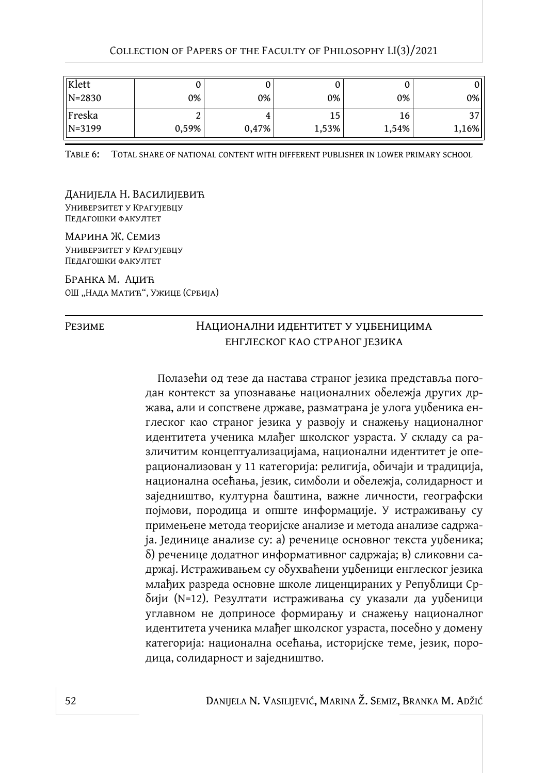| Klett      |       |       |       |       | υ       |
|------------|-------|-------|-------|-------|---------|
| $N = 2830$ | 0%    | 0%    | 0%    | 0%    | 0%      |
| Freska     |       |       | 15    | 16    | າາ<br>◡ |
| $N = 3199$ | 0,59% | 0,47% | 1,53% | 1,54% | 1,16%   |

TABLE 6: TOTAL SHARE OF NATIONAL CONTENT WITH DIFFERENT PUBLISHER IN LOWER PRIMARY SCHOOL

Данијела Н. Василијевић Универзитет у Крагујевцу Педагошки факултет

Марина Ж. Семиз Универзитет у Крагујевцу Педагошки факултет

Бранка М. Аџић ОШ "Нада Матић", Ужице (Србија)

#### РЕЗИМЕ НАЦИОНАЛНИ ИДЕНТИТЕТ У УЏБЕНИЦИМА енглеског као страног језика

Полазећи од тезе да настава страног језика представља погодан контекст за упознавање националних обележја других држава, али и сопствене државе, разматрана је улога уџбеника енглеског као страног језика у развоју и снажењу националног идентитета ученика млађег школског узраста. У складу са различитим концептуализацијама, национални идентитет је операционализован у 11 категорија: религија, обичаји и традиција, национална осећања, језик, симболи и обележја, солидарност и заједништво, културна баштина, важне личности, географски појмови, породица и опште информације. У истраживању су примењене метода теоријске анализе и метода анализе садржаја. Јединице анализе су: а) реченице основног текста уџбеника; б) реченице додатног информативног садржаја; в) сликовни садржај. Истраживањем су обухваћени уџбеници енглеског језика млађих разреда основне школе лиценцираних у Републици Србији (N=12). Резултати истраживања су указали да уџбеници углавном не доприносе формирању и снажењу националног идентитета ученика млађег школског узраста, посебно у домену категорија: национална осећања, историјске теме, језик, породица, солидарност и заједништво.